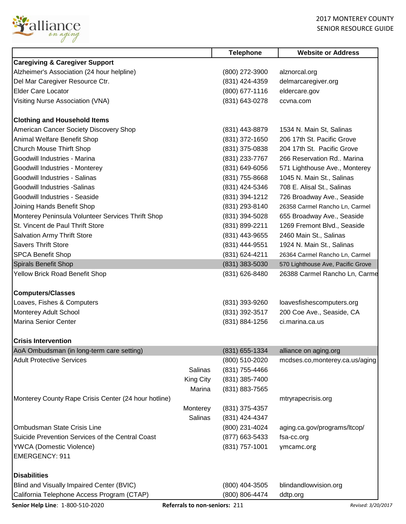

| <b>Telephone</b>                                             | <b>Website or Address</b>                                                                                                                                                                                                                                                                                      |
|--------------------------------------------------------------|----------------------------------------------------------------------------------------------------------------------------------------------------------------------------------------------------------------------------------------------------------------------------------------------------------------|
|                                                              |                                                                                                                                                                                                                                                                                                                |
| (800) 272-3900                                               | alznorcal.org                                                                                                                                                                                                                                                                                                  |
| (831) 424-4359                                               | delmarcaregiver.org                                                                                                                                                                                                                                                                                            |
| $(800)$ 677-1116                                             | eldercare.gov                                                                                                                                                                                                                                                                                                  |
| (831) 643-0278                                               | ccvna.com                                                                                                                                                                                                                                                                                                      |
|                                                              |                                                                                                                                                                                                                                                                                                                |
|                                                              |                                                                                                                                                                                                                                                                                                                |
| (831) 443-8879                                               | 1534 N. Main St, Salinas                                                                                                                                                                                                                                                                                       |
| (831) 372-1650                                               | 206 17th St. Pacific Grove                                                                                                                                                                                                                                                                                     |
| (831) 375-0838                                               | 204 17th St. Pacific Grove                                                                                                                                                                                                                                                                                     |
| (831) 233-7767                                               | 266 Reservation Rd., Marina                                                                                                                                                                                                                                                                                    |
|                                                              | 571 Lighthouse Ave., Monterey                                                                                                                                                                                                                                                                                  |
|                                                              | 1045 N. Main St., Salinas                                                                                                                                                                                                                                                                                      |
|                                                              | 708 E. Alisal St., Salinas                                                                                                                                                                                                                                                                                     |
|                                                              | 726 Broadway Ave., Seaside                                                                                                                                                                                                                                                                                     |
|                                                              | 26358 Carmel Rancho Ln, Carmel                                                                                                                                                                                                                                                                                 |
|                                                              | 655 Broadway Ave., Seaside                                                                                                                                                                                                                                                                                     |
|                                                              | 1269 Fremont Blvd., Seaside                                                                                                                                                                                                                                                                                    |
|                                                              | 2460 Main St., Salinas                                                                                                                                                                                                                                                                                         |
|                                                              | 1924 N. Main St., Salinas                                                                                                                                                                                                                                                                                      |
|                                                              | 26364 Carmel Rancho Ln, Carmel                                                                                                                                                                                                                                                                                 |
|                                                              | 570 Lighthouse Ave, Pacific Grove                                                                                                                                                                                                                                                                              |
|                                                              | 26388 Carmel Rancho Ln, Carme                                                                                                                                                                                                                                                                                  |
|                                                              |                                                                                                                                                                                                                                                                                                                |
|                                                              |                                                                                                                                                                                                                                                                                                                |
|                                                              | loavesfishescomputers.org                                                                                                                                                                                                                                                                                      |
| (831) 392-3517                                               | 200 Coe Ave., Seaside, CA                                                                                                                                                                                                                                                                                      |
|                                                              | ci.marina.ca.us                                                                                                                                                                                                                                                                                                |
|                                                              |                                                                                                                                                                                                                                                                                                                |
|                                                              |                                                                                                                                                                                                                                                                                                                |
| (831) 655-1334                                               | alliance on aging.org                                                                                                                                                                                                                                                                                          |
| (800) 510-2020                                               | mcdses.co,monterey.ca.us/aging                                                                                                                                                                                                                                                                                 |
| (831) 755-4466                                               |                                                                                                                                                                                                                                                                                                                |
| (831) 385-7400                                               |                                                                                                                                                                                                                                                                                                                |
| (831) 883-7565                                               |                                                                                                                                                                                                                                                                                                                |
|                                                              | mtryrapecrisis.org                                                                                                                                                                                                                                                                                             |
| (831) 375-4357                                               |                                                                                                                                                                                                                                                                                                                |
| (831) 424-4347                                               |                                                                                                                                                                                                                                                                                                                |
| (800) 231-4024                                               | aging.ca.gov/programs/ltcop/                                                                                                                                                                                                                                                                                   |
|                                                              | fsa-cc.org                                                                                                                                                                                                                                                                                                     |
|                                                              | ymcamc.org                                                                                                                                                                                                                                                                                                     |
|                                                              |                                                                                                                                                                                                                                                                                                                |
|                                                              |                                                                                                                                                                                                                                                                                                                |
|                                                              |                                                                                                                                                                                                                                                                                                                |
|                                                              | blindandlowvision.org                                                                                                                                                                                                                                                                                          |
| (800) 806-4474                                               | ddtp.org                                                                                                                                                                                                                                                                                                       |
| Salinas<br><b>King City</b><br>Marina<br>Monterey<br>Salinas | (831) 649-6056<br>(831) 755-8668<br>(831) 424-5346<br>(831) 394-1212<br>(831) 293-8140<br>(831) 394-5028<br>(831) 899-2211<br>(831) 443-9655<br>(831) 444-9551<br>(831) 624-4211<br>(831) 383-5030<br>(831) 626-8480<br>(831) 393-9260<br>(831) 884-1256<br>(877) 663-5433<br>(831) 757-1001<br>(800) 404-3505 |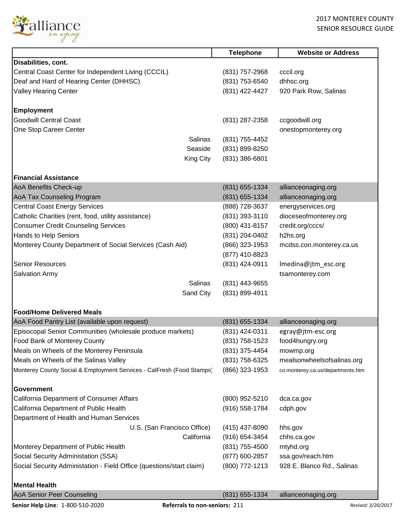

|                                                                       | <b>Telephone</b>   | <b>Website or Address</b>         |
|-----------------------------------------------------------------------|--------------------|-----------------------------------|
| Disabilities, cont.                                                   |                    |                                   |
| Central Coast Center for Independent Living (CCCIL)                   | (831) 757-2968     | cccil.org                         |
| Deaf and Hard of Hearing Center (DHHSC)                               | (831) 753-6540     | dhhsc.org                         |
| Valley Hearing Center                                                 | (831) 422-4427     | 920 Park Row, Salinas             |
| <b>Employment</b>                                                     |                    |                                   |
| <b>Goodwill Central Coast</b>                                         | (831) 287-2358     | ccgoodwill.org                    |
| One Stop Career Center                                                |                    | onestopmonterey.org               |
| Salinas                                                               | (831) 755-4452     |                                   |
| Seaside                                                               | (831) 899-8250     |                                   |
| King City                                                             | (831) 386-6801     |                                   |
|                                                                       |                    |                                   |
| <b>Financial Assistance</b>                                           |                    |                                   |
| AoA Benefits Check-up                                                 | (831) 655-1334     | allianceonaging.org               |
| AoA Tax Counseling Program                                            | (831) 655-1334     | allianceonaging.org               |
| <b>Central Coast Energy Services</b>                                  | (888) 728-3637     | energyservices.org                |
| Catholic Charities (rent, food, utility assistance)                   | (831) 393-3110     | dioceseofmonterey.org             |
| <b>Consumer Credit Counseling Services</b>                            | (800) 431-8157     | credit.org/cccs/                  |
| Hands to Help Seniors                                                 | (831) 204-0402     | h2hs.org                          |
| Monterey County Department of Social Services (Cash Aid)              | (866) 323-1953     | mcdss.con.monterey.ca.us          |
|                                                                       | (877) 410-8823     |                                   |
| <b>Senior Resources</b>                                               | (831) 424-0911     | Imedina@jtm_esc.org               |
| <b>Salvation Army</b>                                                 |                    | tsamonterey.com                   |
| <b>Salinas</b>                                                        | (831) 443-9655     |                                   |
| Sand City                                                             | (831) 899-4911     |                                   |
| <b>Food/Home Delivered Meals</b>                                      |                    |                                   |
| AoA Food Pantry List (available upon request)                         | (831) 655-1334     | allianceonaging.org               |
| Episocopal Senior Communities (wholesale produce markets)             | (831) 424-0311     | egray@jtm-esc.org                 |
| <b>Food Bank of Monterey County</b>                                   | (831) 758-1523     | food4hungry.org                   |
| Meals on Wheels of the Monterey Peninsula                             | (831) 375-4454     | mowmp.org                         |
| Meals on Wheels of the Salinas Valley                                 | (831) 758-6325     | mealsonwheelsofsalinas.org        |
| Monterey County Social & Employment Services - CalFresh (Food Stamps) | (866) 323-1953     | co.monterey.ca.us/departments.htm |
| Government                                                            |                    |                                   |
| California Department of Consumer Affairs                             |                    | dca.ca.gov                        |
|                                                                       | (800) 952-5210     |                                   |
| California Department of Public Health                                | $(916) 558 - 1784$ | cdph.gov                          |
| Department of Health and Human Services                               |                    |                                   |
| U.S. (San Francisco Office)                                           | (415) 437-8090     | hhs.gov                           |
| California                                                            | (916) 654-3454     | chhs.ca.gov                       |
| Monterey Department of Public Health                                  | (831) 755-4500     | mtyhd.org                         |
| Social Security Administation (SSA)                                   | (877) 600-2857     | ssa.gov/reach.htm                 |
| Social Security Administation - Field Office (questions/start claim)  | (800) 772-1213     | 928 E. Blanco Rd., Salinas        |
| <b>Mental Health</b>                                                  |                    |                                   |
| AoA Senior Peer Counseling                                            | (831) 655-1334     | allianceonaging.org               |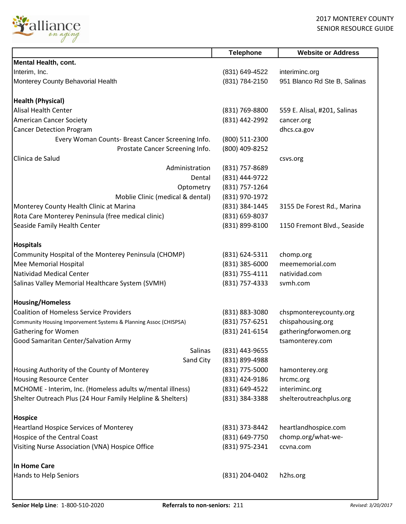

|                                                                  | <b>Telephone</b> | <b>Website or Address</b>    |
|------------------------------------------------------------------|------------------|------------------------------|
| <b>Mental Health, cont.</b>                                      |                  |                              |
| Interim, Inc.                                                    | (831) 649-4522   | interiminc.org               |
| Monterey County Behavorial Health                                | (831) 784-2150   | 951 Blanco Rd Ste B, Salinas |
| <b>Health (Physical)</b>                                         |                  |                              |
| <b>Alisal Health Center</b>                                      | (831) 769-8800   | 559 E. Alisal, #201, Salinas |
| <b>American Cancer Society</b>                                   | (831) 442-2992   | cancer.org                   |
| <b>Cancer Detection Program</b>                                  |                  | dhcs.ca.gov                  |
| Every Woman Counts- Breast Cancer Screening Info.                | (800) 511-2300   |                              |
| Prostate Cancer Screening Info.                                  | (800) 409-8252   |                              |
| Clinica de Salud                                                 |                  | csvs.org                     |
| Administration                                                   | (831) 757-8689   |                              |
| Dental                                                           | (831) 444-9722   |                              |
| Optometry                                                        | (831) 757-1264   |                              |
| Moblie Clinic (medical & dental)                                 | (831) 970-1972   |                              |
| Monterey County Health Clinic at Marina                          | (831) 384-1445   | 3155 De Forest Rd., Marina   |
| Rota Care Monterey Peninsula (free medical clinic)               | (831) 659-8037   |                              |
| Seaside Family Health Center                                     | (831) 899-8100   | 1150 Fremont Blvd., Seaside  |
| <b>Hospitals</b>                                                 |                  |                              |
| Community Hospital of the Monterey Peninsula (CHOMP)             | (831) 624-5311   | chomp.org                    |
| Mee Memorial Hospital                                            | $(831)$ 385-6000 | meememorial.com              |
| <b>Natividad Medical Center</b>                                  | (831) 755-4111   | natividad.com                |
| Salinas Valley Memorial Healthcare System (SVMH)                 | (831) 757-4333   | svmh.com                     |
| <b>Housing/Homeless</b>                                          |                  |                              |
| <b>Coalition of Homeless Service Providers</b>                   | (831) 883-3080   | chspmontereycounty.org       |
| Community Housing Imporvement Systems & Planning Assoc (CHISPSA) | (831) 757-6251   | chispahousing.org            |
| <b>Gathering for Women</b>                                       | (831) 241-6154   | gatheringforwomen.org        |
| Good Samaritan Center/Salvation Army                             |                  | tsamonterey.com              |
| Salinas                                                          | (831) 443-9655   |                              |
| Sand City                                                        | (831) 899-4988   |                              |
| Housing Authority of the County of Monterey                      | (831) 775-5000   | hamonterey.org               |
| <b>Housing Resource Center</b>                                   | (831) 424-9186   | hrcmc.org                    |
| MCHOME - Interim, Inc. (Homeless adults w/mental illness)        | (831) 649-4522   | interiminc.org               |
| Shelter Outreach Plus (24 Hour Family Helpline & Shelters)       | (831) 384-3388   | shelteroutreachplus.org      |
| <b>Hospice</b>                                                   |                  |                              |
| <b>Heartland Hospice Services of Monterey</b>                    | (831) 373-8442   | heartlandhospice.com         |
| Hospice of the Central Coast                                     | (831) 649-7750   | chomp.org/what-we-           |
| Visiting Nurse Association (VNA) Hospice Office                  | (831) 975-2341   | ccvna.com                    |
| <b>In Home Care</b>                                              |                  |                              |
| Hands to Help Seniors                                            | (831) 204-0402   | h2hs.org                     |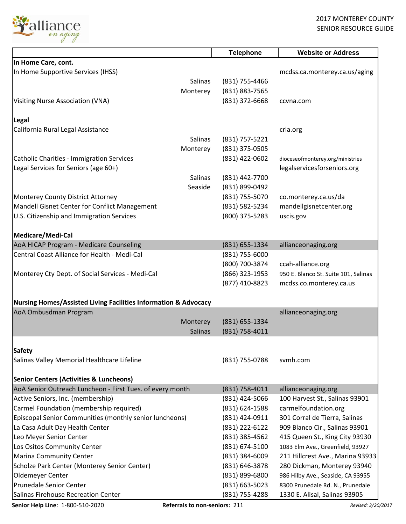

|                                                                            | <b>Telephone</b> | <b>Website or Address</b>            |
|----------------------------------------------------------------------------|------------------|--------------------------------------|
| In Home Care, cont.                                                        |                  |                                      |
| In Home Supportive Services (IHSS)                                         |                  | mcdss.ca.monterey.ca.us/aging        |
| Salinas                                                                    | (831) 755-4466   |                                      |
| Monterey                                                                   | (831) 883-7565   |                                      |
| <b>Visiting Nurse Association (VNA)</b>                                    | (831) 372-6668   | ccvna.com                            |
| Legal                                                                      |                  |                                      |
| California Rural Legal Assistance                                          |                  | crla.org                             |
| Salinas                                                                    | (831) 757-5221   |                                      |
| Monterey                                                                   | (831) 375-0505   |                                      |
| <b>Catholic Charities - Immigration Services</b>                           | (831) 422-0602   | dioceseofmonterey.org/ministries     |
| Legal Services for Seniors (age 60+)                                       |                  | legalservicesforseniors.org          |
| Salinas                                                                    | (831) 442-7700   |                                      |
| Seaside                                                                    | (831) 899-0492   |                                      |
| Monterey County District Attorney                                          | (831) 755-5070   | co.monterey.ca.us/da                 |
| Mandell Gisnet Center for Conflict Management                              | (831) 582-5234   | mandellgisnetcenter.org              |
| U.S. Citizenship and Immigration Services                                  | (800) 375-5283   | uscis.gov                            |
| Medicare/Medi-Cal                                                          |                  |                                      |
| AoA HICAP Program - Medicare Counseling                                    | (831) 655-1334   | allianceonaging.org                  |
| Central Coast Alliance for Health - Medi-Cal                               | (831) 755-6000   |                                      |
|                                                                            | (800) 700-3874   | ccah-alliance.org                    |
| Monterey Cty Dept. of Social Services - Medi-Cal                           | (866) 323-1953   | 950 E. Blanco St. Suite 101, Salinas |
|                                                                            | (877) 410-8823   | mcdss.co.monterey.ca.us              |
| <b>Nursing Homes/Assisted Living Facilities Information &amp; Advocacy</b> |                  |                                      |
| AoA Ombusdman Program                                                      |                  | allianceonaging.org                  |
| Monterey                                                                   | (831) 655-1334   |                                      |
| <b>Salinas</b>                                                             | (831) 758-4011   |                                      |
|                                                                            |                  |                                      |
| <b>Safety</b>                                                              |                  |                                      |
| Salinas Valley Memorial Healthcare Lifeline                                | (831) 755-0788   | svmh.com                             |
|                                                                            |                  |                                      |
| <b>Senior Centers (Activities &amp; Luncheons)</b>                         |                  |                                      |
| AoA Senior Outreach Luncheon - First Tues. of every month                  | (831) 758-4011   | allianceonaging.org                  |
| Active Seniors, Inc. (membership)                                          | (831) 424-5066   | 100 Harvest St., Salinas 93901       |
| Carmel Foundation (membership required)                                    | (831) 624-1588   | carmelfoundation.org                 |
| Episcopal Senior Communities (monthly senior luncheons)                    | (831) 424-0911   | 301 Corral de Tierra, Salinas        |
| La Casa Adult Day Health Center                                            | (831) 222-6122   | 909 Blanco Cir., Salinas 93901       |
| Leo Meyer Senior Center                                                    | (831) 385-4562   | 415 Queen St., King City 93930       |
| Los Ositos Community Center                                                | (831) 674-5100   | 1083 Elm Ave., Greenfield, 93927     |
| <b>Marina Community Center</b>                                             | (831) 384-6009   | 211 Hillcrest Ave., Marina 93933     |
| Scholze Park Center (Monterey Senior Center)                               | (831) 646-3878   | 280 Dickman, Monterey 93940          |
| Oldemeyer Center                                                           | (831) 899-6800   | 986 Hilby Ave., Seaside, CA 93955    |
| <b>Prunedale Senior Center</b>                                             | (831) 663-5023   | 8300 Prunedale Rd. N., Prunedale     |
| Salinas Firehouse Recreation Center                                        | (831) 755-4288   | 1330 E. Alisal, Salinas 93905        |

**Senior Help Line**: 1-800-510-2020 **Referrals to non-seniors:** 211 *Revised: 3/20/2017 Revised: 3/20/2017*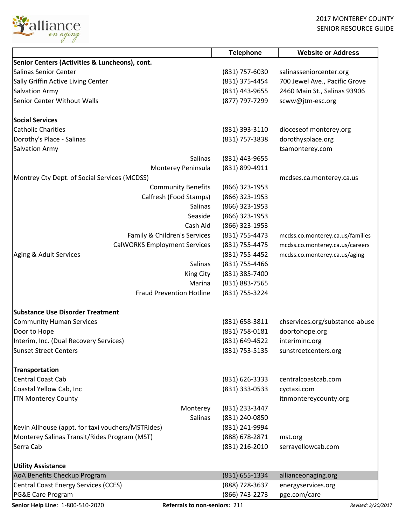

|                                                   | <b>Telephone</b> | <b>Website or Address</b>        |
|---------------------------------------------------|------------------|----------------------------------|
| Senior Centers (Activities & Luncheons), cont.    |                  |                                  |
| Salinas Senior Center                             | (831) 757-6030   | salinasseniorcenter.org          |
| Sally Griffin Active Living Center                | (831) 375-4454   | 700 Jewel Ave., Pacific Grove    |
| <b>Salvation Army</b>                             | (831) 443-9655   | 2460 Main St., Salinas 93906     |
| Senior Center Without Walls                       | (877) 797-7299   | scww@jtm-esc.org                 |
|                                                   |                  |                                  |
| <b>Social Services</b>                            |                  |                                  |
| <b>Catholic Charities</b>                         | (831) 393-3110   | dioceseof monterey.org           |
| Dorothy's Place - Salinas                         | (831) 757-3838   | dorothysplace.org                |
| <b>Salvation Army</b>                             |                  | tsamonterey.com                  |
| Salinas                                           | (831) 443-9655   |                                  |
| Monterey Peninsula                                | (831) 899-4911   |                                  |
| Montrey Cty Dept. of Social Services (MCDSS)      |                  | mcdses.ca.monterey.ca.us         |
| <b>Community Benefits</b>                         | (866) 323-1953   |                                  |
| Calfresh (Food Stamps)                            | $(866)$ 323-1953 |                                  |
| Salinas                                           | (866) 323-1953   |                                  |
| Seaside                                           | (866) 323-1953   |                                  |
| Cash Aid                                          | (866) 323-1953   |                                  |
| Family & Children's Services                      | (831) 755-4473   | mcdss.co.monterey.ca.us/families |
| <b>CalWORKS Employment Services</b>               | (831) 755-4475   | mcdss.co.monterey.ca.us/careers  |
| Aging & Adult Services                            | (831) 755-4452   | mcdss.co.monterey.ca.us/aging    |
| Salinas                                           | (831) 755-4466   |                                  |
| King City                                         | (831) 385-7400   |                                  |
| Marina                                            | (831) 883-7565   |                                  |
| <b>Fraud Prevention Hotline</b>                   | (831) 755-3224   |                                  |
|                                                   |                  |                                  |
| <b>Substance Use Disorder Treatment</b>           |                  |                                  |
| <b>Community Human Services</b>                   | (831) 658-3811   | chservices.org/substance-abuse   |
| Door to Hope                                      | (831) 758-0181   | doortohope.org                   |
| Interim, Inc. (Dual Recovery Services)            | (831) 649-4522   | interiminc.org                   |
| <b>Sunset Street Centers</b>                      | (831) 753-5135   | sunstreetcenters.org             |
|                                                   |                  |                                  |
| <b>Transportation</b>                             |                  |                                  |
| <b>Central Coast Cab</b>                          | (831) 626-3333   | centralcoastcab.com              |
| Coastal Yellow Cab, Inc                           | (831) 333-0533   | cyctaxi.com                      |
| <b>ITN Monterey County</b>                        |                  | itnmontereycounty.org            |
| Monterey                                          | (831) 233-3447   |                                  |
| Salinas                                           | (831) 240-0850   |                                  |
| Kevin Allhouse (appt. for taxi vouchers/MSTRides) | (831) 241-9994   |                                  |
| Monterey Salinas Transit/Rides Program (MST)      | (888) 678-2871   | mst.org                          |
| Serra Cab                                         | (831) 216-2010   | serrayellowcab.com               |
|                                                   |                  |                                  |
| <b>Utility Assistance</b>                         |                  |                                  |
| AoA Benefits Checkup Program                      | (831) 655-1334   | allianceonaging.org              |
| <b>Central Coast Energy Services (CCES)</b>       | (888) 728-3637   | energyservices.org               |
| PG&E Care Program                                 | (866) 743-2273   | pge.com/care                     |

**Senior Help Line**: 1-800-510-2020 **Referrals to non-seniors:** 211 *Revised: 3/20/2017 Revised: 3/20/2017*